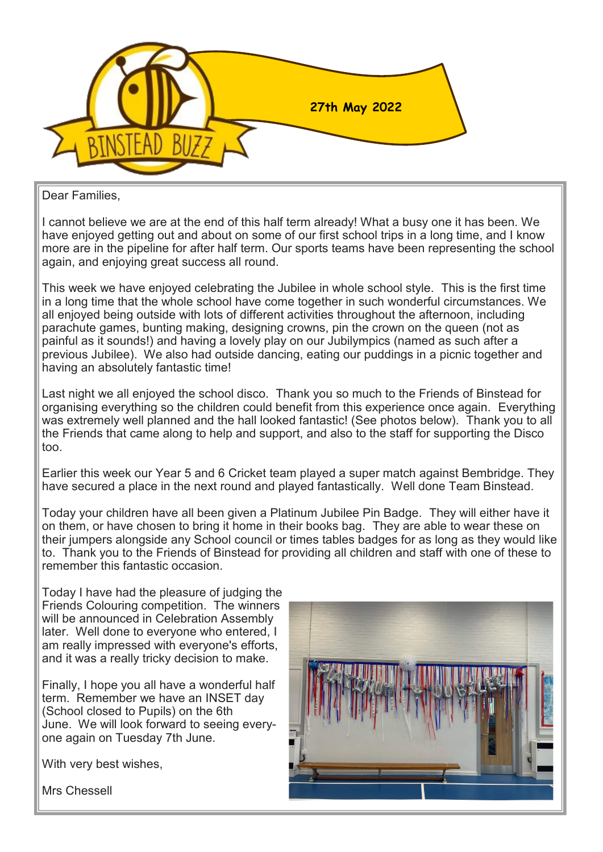

Dear Families,

I cannot believe we are at the end of this half term already! What a busy one it has been. We have enjoyed getting out and about on some of our first school trips in a long time, and I know more are in the pipeline for after half term. Our sports teams have been representing the school again, and enjoying great success all round.

This week we have enjoyed celebrating the Jubilee in whole school style. This is the first time in a long time that the whole school have come together in such wonderful circumstances. We all enjoyed being outside with lots of different activities throughout the afternoon, including parachute games, bunting making, designing crowns, pin the crown on the queen (not as painful as it sounds!) and having a lovely play on our Jubilympics (named as such after a previous Jubilee). We also had outside dancing, eating our puddings in a picnic together and having an absolutely fantastic time!

Last night we all enjoyed the school disco. Thank you so much to the Friends of Binstead for organising everything so the children could benefit from this experience once again. Everything was extremely well planned and the hall looked fantastic! (See photos below). Thank you to all the Friends that came along to help and support, and also to the staff for supporting the Disco too.

Earlier this week our Year 5 and 6 Cricket team played a super match against Bembridge. They have secured a place in the next round and played fantastically. Well done Team Binstead.

Today your children have all been given a Platinum Jubilee Pin Badge. They will either have it on them, or have chosen to bring it home in their books bag. They are able to wear these on their jumpers alongside any School council or times tables badges for as long as they would like to. Thank you to the Friends of Binstead for providing all children and staff with one of these to remember this fantastic occasion.

Today I have had the pleasure of judging the Friends Colouring competition. The winners will be announced in Celebration Assembly later. Well done to everyone who entered, I am really impressed with everyone's efforts, and it was a really tricky decision to make.

Finally, I hope you all have a wonderful half term. Remember we have an INSET day (School closed to Pupils) on the 6th June. We will look forward to seeing everyone again on Tuesday 7th June.

With very best wishes,

Mrs Chessell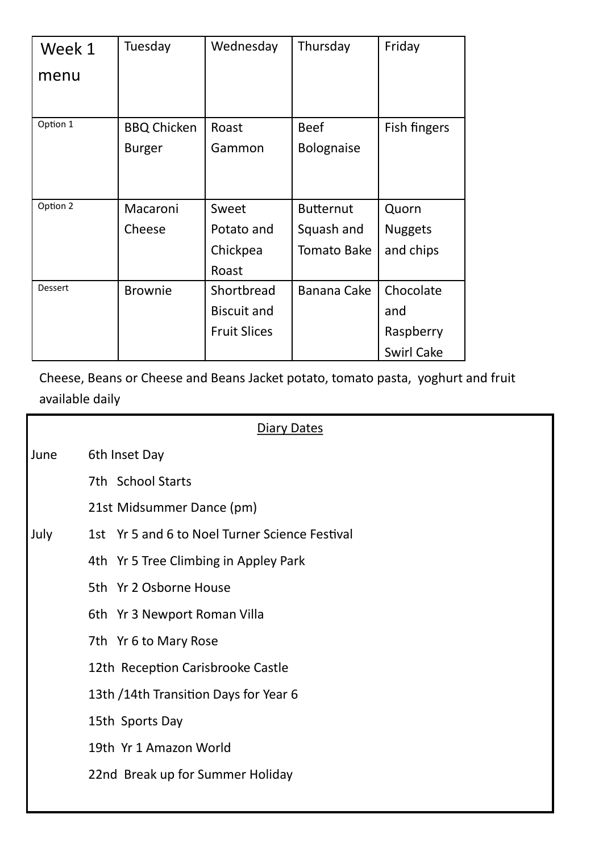| Week 1   | Tuesday            | Wednesday           | Thursday           | Friday            |
|----------|--------------------|---------------------|--------------------|-------------------|
| menu     |                    |                     |                    |                   |
|          |                    |                     |                    |                   |
| Option 1 | <b>BBQ Chicken</b> | Roast               | <b>Beef</b>        | Fish fingers      |
|          | <b>Burger</b>      | Gammon              | <b>Bolognaise</b>  |                   |
|          |                    |                     |                    |                   |
|          |                    |                     |                    |                   |
| Option 2 | Macaroni           | Sweet               | <b>Butternut</b>   | Quorn             |
|          | Cheese             | Potato and          | Squash and         | <b>Nuggets</b>    |
|          |                    | Chickpea            | <b>Tomato Bake</b> | and chips         |
|          |                    | Roast               |                    |                   |
| Dessert  | <b>Brownie</b>     | Shortbread          | Banana Cake        | Chocolate         |
|          |                    | <b>Biscuit and</b>  |                    | and               |
|          |                    | <b>Fruit Slices</b> |                    | Raspberry         |
|          |                    |                     |                    | <b>Swirl Cake</b> |

Cheese, Beans or Cheese and Beans Jacket potato, tomato pasta, yoghurt and fruit available daily

|      | <b>Diary Dates</b>                             |
|------|------------------------------------------------|
| June | 6th Inset Day                                  |
|      | 7th School Starts                              |
|      | 21st Midsummer Dance (pm)                      |
| July | 1st Yr 5 and 6 to Noel Turner Science Festival |
|      | 4th Yr 5 Tree Climbing in Appley Park          |
|      | 5th Yr 2 Osborne House                         |
|      | 6th Yr 3 Newport Roman Villa                   |
|      | 7th Yr 6 to Mary Rose                          |
|      | 12th Reception Carisbrooke Castle              |
|      | 13th /14th Transition Days for Year 6          |
|      | 15th Sports Day                                |
|      | 19th Yr 1 Amazon World                         |
|      | 22nd Break up for Summer Holiday               |
|      |                                                |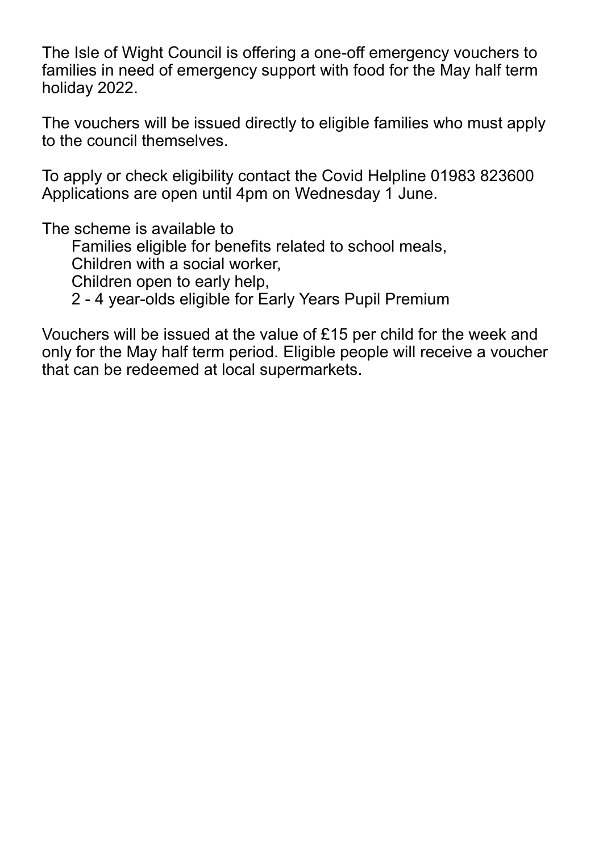The Isle of Wight Council is offering a one-off emergency vouchers to families in need of emergency support with food for the May half term holiday 2022.

The vouchers will be issued directly to eligible families who must apply to the council themselves.

To apply or check eligibility contact the Covid Helpline 01983 823600 Applications are open until 4pm on Wednesday 1 June.

The scheme is available to

Families eligible for benefits related to school meals,

Children with a social worker,

Children open to early help,

2 - 4 year-olds eligible for Early Years Pupil Premium

Vouchers will be issued at the value of £15 per child for the week and only for the May half term period. Eligible people will receive a voucher that can be redeemed at local supermarkets.